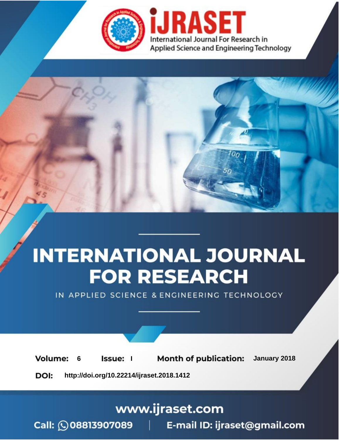

# **INTERNATIONAL JOURNAL FOR RESEARCH**

IN APPLIED SCIENCE & ENGINEERING TECHNOLOGY

**Month of publication: Volume:** January 2018 **Issue:** I 6 DOI: http://doi.org/10.22214/ijraset.2018.1412

www.ijraset.com

Call: 008813907089 | E-mail ID: ijraset@gmail.com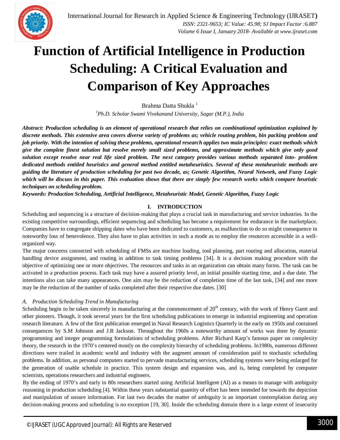

### **Function of Artificial Intelligence in Production Scheduling: A Critical Evaluation and Comparison of Key Approaches**

Brahma Datta Shukla<sup>1</sup>

*<sup>1</sup>Ph.D. Scholar Swami Vivekanand University, Sagar (M.P.), India*

*Abstract: Production scheduling is an element of operational research that relies on combinational optimization explained by discrete methods. This extensive area covers diverse variety of problems as; vehicle routing problem, bin packing problem and job priority. With the intention of solving these problems, operational research applies two main principles: exact methods which give the complete finest solution but resolve merely small sized problems, and approximate methods which give only good solution except resolve near real life sized problem. The next category provides various methods separated into- problem dedicated methods entitled heuristics and general method entitled metaheuristics. Several of these metaheuristic methods are guiding the literature of production scheduling for past two decade, as; Genetic Algorithm, Neural Network, and Fuzzy Logic which will be discuss in this paper. This evaluation shows that there are simply few research works which compare heuristic techniques on scheduling problem.* 

*Keywords: Production Scheduling, Artificial Intelligence, Metaheuristic Model, Genetic Algorithm, Fuzzy Logic*

#### **I. INTRODUCTION**

Scheduling and sequencing is a structure of decision-making that plays a crucial task in manufacturing and service industries. In the existing competitive surroundings, efficient sequencing and scheduling has become a requirement for endurance in the marketplace. Companies have to congregate shipping dates who have been dedicated to customers, as malfunction to do so might consequence in noteworthy loss of benevolence. They also have to plan activities in such a mode as to employ the resources accessible in a wellorganized way.

The major concerns connected with scheduling of FMSs are machine loading, tool planning, part routing and allocation, material handling device assignment, and routing in addition to task timing problems [34]. It is a decision making procedure with the objective of optimizing one or more objectives. The resources and tasks in an organization can obtain many forms. The task can be activated in a production process. Each task may have a assured priority level, an initial possible starting time, and a due date. The intentions also can take many appearances. One aim may be the reduction of completion time of the last task, [34] and one more may be the reduction of the number of tasks completed after their respective due dates. [30]

#### *A. Production Scheduling Trend in Manufacturing*

Scheduling begin to be taken sincerely in manufacturing at the commencement of  $20<sup>th</sup>$  century, with the work of Henry Gantt and other pioneers. Though, it took several years for the first scheduling publications to emerge in industrial engineering and operation research literature. A few of the first publication emerged in Naval Research Logistics Quarterly in the early on 1950s and contained consequences by S.M Johnson and J.R Jackson. Throughout the 1960s a noteworthy amount of works was done by dynamic programming and integer programming formulations of scheduling problems. After Richard Karp's famous paper on complexity theory, the research in the 1970's centered mostly on the complexity hierarchy of scheduling problems. In1980s, numerous different directions were trailed in academic world and industry with the augment amount of consideration paid to stochastic scheduling problems. In addition, as personal computers started to pervade manufacturing services, scheduling systems were being enlarged for the generation of usable schedule in practice. This system design and expansion was, and is, being completed by computer scientists, operations researchers and industrial engineers.

By the ending of 1970's and early in 80s researchers started using Artificial Intelligent (AI) as a means to manage with ambiguity reasoning in production scheduling [4]. Within these years substantial quantity of effort has been intended for towards the depiction and manipulation of unsure information. For last two decades the matter of ambiguity is an important contemplation during any decision-making process and scheduling is no exception [19, 30]. Inside the scheduling domain there is a large extent of insecurity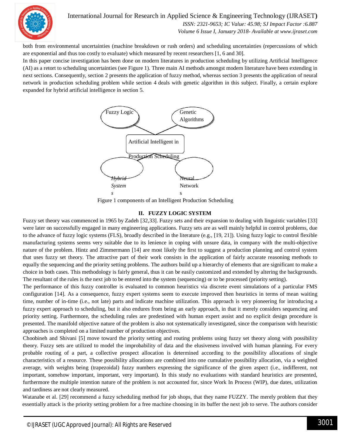

International Journal for Research in Applied Science & Engineering Technology (IJRASET**)**

 *ISSN: 2321-9653; IC Value: 45.98; SJ Impact Factor :6.887 Volume 6 Issue I, January 2018- Available at www.ijraset.com*

both from environmental uncertainties (machine breakdown or rush orders) and scheduling uncertainties (repercussions of which are exponential and thus too costly to evaluate) which measured by recent researchers [1, 6 and 30].

In this paper concise investigation has been done on modern literatures in production scheduling by utilizing Artificial Intelligence (AI) as a retort to scheduling uncertainties (see Figure 1). Three main AI methods amongst modern literature have been extending in next sections. Consequently, section 2 presents the application of fuzzy method, whereas section 3 presents the application of neural network in production scheduling problem while section 4 deals with genetic algorithm in this subject. Finally, a certain explore expanded for hybrid artificial intelligence in section 5.



Figure 1 components of an Intelligent Production Scheduling

#### **II. FUZZY LOGIC SYSTEM**

Fuzzy set theory was commenced in 1965 by Zadeh [32,33]. Fuzzy sets and their expansion to dealing with linguistic variables [33] were later on successfully engaged in many engineering applications. Fuzzy sets are as well mainly helpful in control problems, due to the advance of fuzzy logic systems (FLS), broadly described in the literature (e.g., [19, 21]). Using fuzzy logic to control flexible manufacturing systems seems very suitable due to its lenience in coping with unsure data, in company with the multi-objective nature of the problem. Hintz and Zimmermann [14] are most likely the first to suggest a production planning and control system that uses fuzzy set theory. The attractive part of their work consists in the application of fairly accurate reasoning methods to equally the sequencing and the priority setting problems. The authors build up a hierarchy of elements that are significant to make a choice in both cases. This methodology is fairly general, thus it can be easily customized and extended by altering the backgrounds. The resultant of the rules is the next job to be entered into the system (sequencing) or to be processed (priority setting).

The performance of this fuzzy controller is evaluated to common heuristics via discrete event simulations of a particular FMS configuration [14]. As a consequence, fuzzy expert systems seem to execute improved then heuristics in terms of mean waiting time, number of in-time (i.e., not late) parts and indicate machine utilization. This approach is very pioneering for introducing a fuzzy expert approach to scheduling, but it also endures from being an early approach, in that it merely considers sequencing and priority setting. Furthermore, the scheduling rules are predestined with human expert assist and no explicit design procedure is presented. The manifold objective nature of the problem is also not systematically investigated, since the comparison with heuristic approaches is completed on a limited number of production objectives.

Choobineh and Shivani [5] move toward the priority setting and routing problems using fuzzy set theory along with possibility theory. Fuzzy sets are utilized to model the improbability of data and the elusiveness involved with human planning. For every probable routing of a part, a collective prospect allocation is determined according to the possibility allocations of single characteristics of a resource. These possibility allocations are combined into one cumulative possibility allocation, via a weighted average, with weights being (trapezoidal) fuzzy numbers expressing the significance of the given aspect (i.e., indifferent, not important, somehow important, important, very important). In this study no evaluations with standard heuristics are presented, furthermore the multiple intention nature of the problem is not accounted for, since Work In Process (WIP), due dates, utilization and tardiness are not clearly measured.

Watanabe et al. [29] recommend a fuzzy scheduling method for job shops, that they name FUZZY. The merely problem that they essentially attack is the priority setting problem for a free machine choosing in its buffer the next job to serve. The authors consider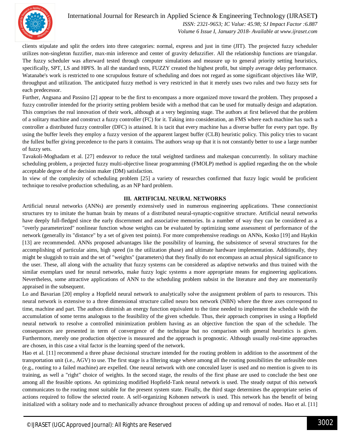

International Journal for Research in Applied Science & Engineering Technology (IJRASET**)**  *ISSN: 2321-9653; IC Value: 45.98; SJ Impact Factor :6.887 Volume 6 Issue I, January 2018- Available at www.ijraset.com*

clients stipulate and split the orders into three categories: normal, express and just in time (JIT). The projected fuzzy scheduler utilizes non-singleton fuzzifier, max-min inference and center of gravity defuzzifier. All the relationship functions are triangular. The fuzzy scheduler was afterward tested through computer simulations and measure up to general priority setting heuristics, specifically, SPT, LS and HPFS. In all the standard tests, FUZZY created the highest profit, but simply average delay performance. Watanabe's work is restricted to one scrupulous feature of scheduling and does not regard as some significant objectives like WIP, throughput and utilization. The anticipated fuzzy method is very restricted in that it merely uses two rules and two fuzzy sets for each predecessor.

Further, Angsana and Passino [2] appear to be the first to encompass a more organized move toward the problem. They proposed a fuzzy controller intended for the priority setting problem beside with a method that can be used for mutually design and adaptation. This comprises the real innovation of their work, although at a very beginning stage. The authors at first believed that the problem of a solitary machine and construct a fuzzy controller (FC) for it. Taking into consideration, an FMS where each machine has such a controller a distributed fuzzy controller (DFC) is attained. It is tacit that every machine has a diverse buffer for every part type. By using the buffer levels they employ a fuzzy version of the apparent largest buffer (CLB) heuristic policy. This policy tries to vacant the fullest buffer giving precedence to the parts it contains. The authors wrap up that it is not constantly better to use a large number of fuzzy sets.

Tavakoli-Moghadam et al. [27] endeavor to reduce the total weighted tardiness and makespan concurrently. In solitary machine scheduling problem, a projected fuzzy multi-objective linear programming (FMOLP) method is applied regarding the on the whole acceptable degree of the decision maker (DM) satisfaction.

In view of the complexity of scheduling problem [25] a variety of researches confirmed that fuzzy logic would be proficient technique to resolve production scheduling, as an NP hard problem.

#### **III. ARTIFICIAL NEURAL NETWORKS**

Artificial neural networks (ANNs) are presently extensively used in numerous engineering applications. These connectionist structures try to imitate the human brain by means of a distributed neural-synaptic-cognitive structure. Artificial neural networks have deeply full-fledged since the early discernment and associative memories. In a number of way they can be considered as a "overly parameterized" nonlinear function whose weights can be evaluated by optimizing some assessment of performance of the network (generally its "distance" by a set of given test points). For more comprehensive readings on ANNs, Kosko [19] and Haykin [13] are recommended. ANNs proposed advantages like the possibility of learning, the subsistence of several structures for the accomplishing of particular aims, high speed (in the utilization phase) and ultimate hardware implementation. Additionally, they might be sluggish to train and the set of "weights" (parameters) that they finally do not encompass an actual physical significance to the user. These, all along with the actuality that fuzzy systems can be considered as adaptive networks and thus trained with the similar exemplars used for neural networks, make fuzzy logic systems a more appropriate means for engineering applications. Nevertheless, some attractive applications of ANN to the scheduling problem subsist in the literature and they are momentarily appraised in the subsequent.

Lo and Bavarian [20] employ a Hopfield neural network to analytically solve the assignment problem of parts to resources. This neural network is extensive to a three dimensional structure called neuro box network (NBN) where the three axes correspond to time, machine and part. The authors diminish an energy function equivalent to the time needed to implement the schedule with the accumulation of some terms analogous to the feasibility of the given schedule. Thus, their approach comprises in using a Hopfield neural network to resolve a controlled minimization problem having as an objective function the span of the schedule. The consequences are presented in term of convergence of the technique but no comparison with general heuristics is given. Furthermore, merely one production objective is measured and the approach is prognostic. Although usually real-time approaches are chosen, in this case a vital factor is the learning speed of the network.

Hao et al. [11] recommend a three phase decisional structure intended for the routing problem in addition to the assortment of the transportation unit (i.e., AGV) to use. The first stage is a filtering stage where among all the routing possibilities the unfeasible ones (e.g., routing to a failed machine) are expelled. One neural network with one concealed layer is used and no mention is given to its training, as well a "right" choice of weights. In the second stage, the results of the first phase are used to conclude the best one among all the feasible options. An optimizing modified Hopfield-Tank neural network is used. The steady output of this network communicates to the routing most suitable for the present system state. Finally, the third stage determines the appropriate series of actions required to follow the selected route. A self-organizing Kohonen network is used. This network has the benefit of being initialized with a solitary node and to mechanically advance throughout process of adding up and removal of nodes. Hao et al. [11]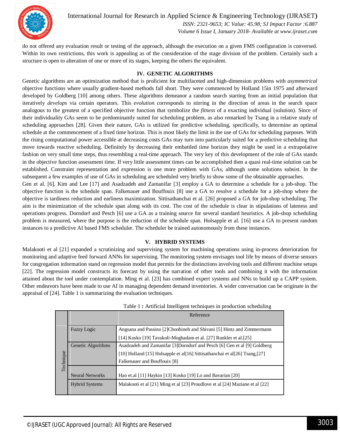

International Journal for Research in Applied Science & Engineering Technology (IJRASET**)**  *ISSN: 2321-9653; IC Value: 45.98; SJ Impact Factor :6.887*

 *Volume 6 Issue I, January 2018- Available at www.ijraset.com*

do not offered any evaluation result or testing of the approach, although the execution on a given FMS configuration is conversed. Within its own restrictions, this work is appealing as of the consideration of the stage division of the problem. Certainly such a structure is open to alteration of one or more of its stages, keeping the others the equivalent.

#### **IV. GENETIC ALGORITHMS**

Genetic algorithms are an optimization method that is proficient for multifaceted and high-dimension problems with *asymmetrical*  objective functions where usually gradient-based methods fall short. They were commenced by Holland 15in 1975 and afterward developed by Goldberg [10] among others. These algorithms demeanor a random search starting from an initial population that iteratively *develops* via certain operators. This *evolution* corresponds to stirring in the direction of areas in the search space analogous to the greatest of a specified objective function that symbolize the *fitness* of a exacting individual (solution). Since of their individuality GAs seem to be predominantly suited for scheduling problem, as also remarked by Tsang in a relative study of scheduling approaches [28]. Given their nature, GAs is utilized for predictive scheduling, specifically, to determine an optimal schedule at the commencement of a fixed time horizon. This is most likely the limit in the use of GAs for scheduling purposes. With the rising computational power accessible at decreasing costs GAs may turn into particularly suited for a predictive scheduling that move towards reactive scheduling. Definitely by decreasing their embattled time horizon they might be used in a extrapolative fashion on very small time steps, thus resembling a real-time approach. The very key of this development of the role of GAs stands in the objective function assessment time. If very little assessment times can be accomplished then a quasi real-time solution can be established. Constraint representation and expression is one more problem with GAs, although some solutions subsist. In the subsequent a few examples of use of GAs in scheduling are scheduled very briefly to show some of the obtainable approaches.

Gen et al. [6], Kim and Lee [17] and Asadzadeh and Zamanifar [3] employ a GA to determine a schedule for a job-shop. The objective function is the schedule span. Falkenauer and Bouffouix [8] use a GA to resolve a schedule for a job-shop where the objective is tardiness reduction and earliness maximization. Sittisathanchai et al. [26] proposed a GA for job-shop scheduling. The aim is the minimization of the schedule span along with its cost. The cost of the schedule is clear in stipulations of lateness and operations progress. Dorndorf and Pesch [6] use a GA as a training source for several standard heuristics. A job-shop scheduling problem is measured, where the purpose is the reduction of the schedule span. Holsapple et al. [16] use a GA to present random instances to a predictive AI based FMS scheduler. The scheduler be trained autonomously from these instances.

#### **V. HYBRID SYSTEMS**

Malakooti et al [21] expanded a scrutinizing and supervising system for machining operations using in-process deterioration for monitoring and adaptive feed forward ANNs for supervising. The monitoring system envisages tool life by means of diverse sensors for congregation information stand on regression model that permits for the distinctions involving tools and different machine setups [22]. The regression model constructs its forecast by using the narration of other tools and combining it with the information attained about the tool under contemplation. Ming et al. [23] has combined expert systems and NNs to build up a CAPP system. Other endeavors have been made to use AI in managing dependent demand inventories. A wider conversation can be originate in the appraisal of [24]. Table 1 is summarizing the evaluation techniques.

|           |                        | Reference                                                                    |
|-----------|------------------------|------------------------------------------------------------------------------|
|           |                        |                                                                              |
| Technique | <b>Fuzzy Logic</b>     | Angsana and Passino [2] Choobineh and Shivani [5] Hintz and Zimmermann       |
|           |                        | [14] Kosko [19] Tavakoli-Moghadam et al. [27] Runkler et al. [25]            |
|           | Genetic Algorithms     | Asadzadeh and Zamanifar [3]Dorndorf and Pesch [6] Gen et al [9] Goldberg     |
|           |                        | [10] Holland [15] Holsapple et al[16] Sittisathanchai et al[26] Tsang, [27]  |
|           |                        | Falkenauer and Bouffouix [8]                                                 |
|           |                        |                                                                              |
|           | <b>Neural Networks</b> | Hao et.al [11] Haykin [13] Kosko [19] Lo and Bavarian [20]                   |
|           | <b>Hybrid Systems</b>  | Malakooti et al [21] Ming et al [23] Proudlove et al [24] Maziane et al [22] |
|           |                        |                                                                              |

Table 1 **:** Artificial Intelligent techniques in production scheduling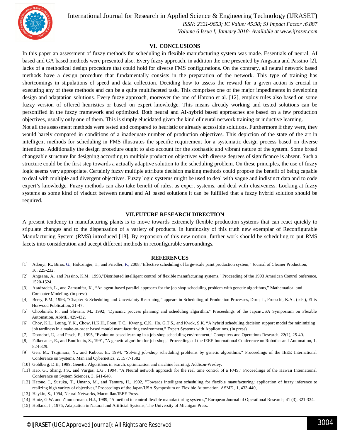

International Journal for Research in Applied Science & Engineering Technology (IJRASET**)**

 *ISSN: 2321-9653; IC Value: 45.98; SJ Impact Factor :6.887*

 *Volume 6 Issue I, January 2018- Available at www.ijraset.com*

#### **VI. CONCLUSIONS**

In this paper an assessment of fuzzy methods for scheduling in flexible manufacturing system was made. Essentials of neural, AI based and GA based methods were presented also. Every fuzzy approach, in addition the one presented by Angsana and Passino [2], lacks of a methodical design procedure that could hold for diverse FMS configurations. On the contrary, all neural network based methods have a design procedure that fundamentally consists in the preparation of the network. This type of training has shortcomings in stipulations of speed and data collection. Deciding how to assess the reward for a given action is crucial in executing any of these methods and can be a quite multifaceted task. This comprises one of the major impediments in developing design and adaptation solutions. Every fuzzy approach, moreover the one of Hatono et al. [12], employ rules also based on some fuzzy version of offered heuristics or based on expert knowledge. This means already working and tested solutions can be personified in the fuzzy framework and optimized. Both neural and AI-hybrid based approaches are based on a few production objectives, usually only one of them. This is simply elucidated given the kind of neural network training or inductive learning.

Not all the assessment methods were tested and compared to heuristic or already accessible solutions. Furthermore if they were, they would barely compared in conditions of a inadequate number of production objectives. This depiction of the state of the art in intelligent methods for scheduling in FMS illustrates the specific requirement for a systematic design process based on diverse intentions. Additionally the design procedure ought to also account for the stochastic and vibrant nature of the system. Some broad changeable structure for designing according to multiple production objectives with diverse degrees of significance is absent. Such a structure could be the first step towards a actually adaptive solution to the scheduling problem. On these principles, the use of fuzzy logic seems very appropriate. Certainly fuzzy multiple attribute decision making methods could propose the benefit of being capable to deal with multiple and divergent objectives. Fuzzy logic systems might be used to deal with vague and indistinct data and to code expert's knowledge. Fuzzy methods can also take benefit of rules, as expert systems, and deal with elusiveness. Looking at fuzzy systems as some kind of viaduct between neural and AI based solutions it can be fulfilled that a fuzzy hybrid solution should be required.

#### **VII.FUTURE RESEARCH DIRECTION**

A present tendency in manufacturing plants is to move towards extremely flexible production systems that can react quickly to stipulate changes and to the dispensation of a variety of products. In luminosity of this truth new exemplar of Reconfigurable Manufacturing System (RMS) introduced [18]. By expansion of this new notion, further work should be scheduling to put RMS facets into consideration and accept different methods in reconfigurable surroundings.

#### **REFERENCES**

- [1] Adonyi, R., Biros, G., Holczinger, T., and Friedler, F., 2008,"Effective scheduling of large-scale paint production system," Journal of Cleaner Production, 16, 225-232.
- [2] Angsana, A., and Passino, K.M., 1993,"Distributed intelligent control of flexible manufacturing systems," Proceeding of the 1993 American Control onference, 1520-1524.
- [3] Asadzadeh, L., and Zamanifar, K., "An agent-based parallel approach for the job shop scheduling problem with genetic algorithms," Mathematical and Computer Modeling. (in press)
- [4] Berry, P.M., 1993, "Chapter 3: Scheduling and Uncertainty Reasoning," appears in Scheduling of Production Processes, Dorn, J., Froeschl, K.A., (eds.), Ellis Horwood Publication, 31-47.
- [5] Choobineh, F., and Shivani, M., 1992, "Dynamic process planning and scheduling algorithm," Proceedings of the Japan/USA Symposium on Flexible Automation, ASME, 429-432.
- [6] Choy, K.L., Leung, Y.K., Chow, H.K.H., Poon, T.C., Kwong, C.K., Ho, G.T.S., and Kwok, S.K. "A hybrid scheduling decision support model for minimizing job tardiness in a make-to-order based mould manufacturing environment," Expert Systems with Applications. (in press)
- [7] Dorndorf, U, .and Pesch, E., 1995, "Evolution based learning in a job-shop scheduling environment," Computers and Operations Research, 22(1), 25-40.
- [8] Falkenauer, E., and Bouffouix, S., 1991, "A genetic algorithm for job-shop," Proceedings of the IEEE International Conference on Robotics and Automation, 1, 824-829.
- [9] Gen, M., Tsujimura, Y., and Kubota, E., 1994, "Solving job-shop scheduling problems by genetic algorithms," Proceedings of the IEEE International Conference on Systems, Man and Cybernetics, 2, 1577-1582.
- [10] Goldberg, D.E., 1989, Genetic Algorithms in search, optimization and machine learning, Addison-Wesley.
- [11] Hao, G., Shang, J.S., and Vargas, L.G., 1994, "A Neural network approach for the real time control of a FMS," Proceedings of the Hawaii International Conference on System Sciences, 3, 641-648.
- [12] Hatono, I., Suzuka, T., Umano, M., and Tamura, H., 1992, "Towards intelligent scheduling for flexible manufacturing: application of fuzzy inference to realizing high variety of objectives," Proceedings of the Japan/USA Symposium on Flexible Automation, ASME , 1, 433-440,.
- [13] Haykin, S., 1994, Neural Networks, Macmillan/IEEE Press.
- [14] Hintz, G.W. and Zimmermann, H.J., 1989, "A method to control flexible manufacturing systems," European Journal of Operational Research, 41 (3), 321-334.
- [15] Holland, J., 1975, Adaptation in Natural and Artificial Systems, The University of Michigan Press.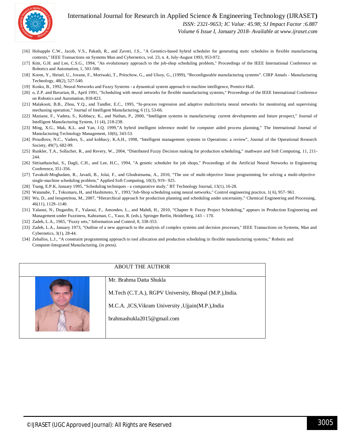

#### International Journal for Research in Applied Science & Engineering Technology (IJRASET**)**

 *ISSN: 2321-9653; IC Value: 45.98; SJ Impact Factor :6.887*

 *Volume 6 Issue I, January 2018- Available at www.ijraset.com*

- [16] Holsapple C.W., Jacob, V.S., Pakath, R., and Zaveri, J.S., "A Genetics-based hybrid scheduler for generating static schedules in flexible manufacturing contexts," IEEE Transactions on Systems Man and Cybernetics, vol. 23, n. 4, July-August 1993, 953-972.
- [17] Kim, G.H. and Lee, C.S.G., 1994, "An evolutionary approach to the job-shop scheduling problem," Proceedings of the IEEE International Conference on Robotics and Automation, 1, 501-506.
- [18] Koren, Y., Heisel, U., Jovane, F., Moriwaki, T., Pritschow, G., and Ulsoy, G., (1999), "Reconfigurable manufacturing systems". CIRP Annals Manufacturing Technology*,* 48(2), 527-540.
- [19] Kosko, B., 1992, Neural Networks and Fuzzy Systems a dynamical system approach to machine intelligence, Prentice Hall.
- [20] o, Z.P. and Bavarian, B., April 1991, "Scheduling with neural networks for flexible manufacturing systems," Proceedings of the IEEE International Conference on Robotics and Automation, 818-823.
- [21] Malakooti, B.B., Zhou, Y.Q., and Tandler, E.C., 1995, "In-process regression and adaptive multicriteria neural networks for monitoring and supervising mechaning operation," Journal of Intelligent Manufacturing, 6 (1), 53-66.
- [22] Maziane, F., Vadera, S., Kobbacy, K., and Nathan, P., 2000, "Intelligent systems in manufacturing: current developments and future prospect," Journal of Intelligent Manufacturing System, 11 (4), 218-238.
- [23] Ming, X.G., Mak, K.L. and Yan, J.Q. 1999,"A hybrid intelligent inference model for computer aided process planning," The International Journal of Manufacturing Technology Management, 10(6), 343-53.
- [24] Proudlove, N.C., Vaders, S., and kobbacy, K.A.H., 1998, "Intelligent management systems in Operations: a review", Journal of the Operational Research Society, 49(7), 682-99.
- [25] Runkler, T.A., Sollacher, R., and Revery, W., 2004, "Distributed Fuzzy Decision making for production scheduling," mathware and Soft Computing, 11, 211-244.
- [26] Sittisathanchai, S., Dagli, C.H., and Lee, H.C., 1994, "A genetic scheduler for job shops," Proceedings of the Artificial Neural Networks in Engineering Conference, 351-356.
- [27] Tavakoli-Moghadam, R., Javadi, B., Jolai, F., and Ghodratnama, A., 2010, "The use of multi-objective linear programming for solving a multi-objective single-machine scheduling problem," Applied Soft Computing, 10(3), 919– 925.
- [28] Tsang, E.P.K, January 1995, "Scheduling techniques a comparative study," BT Technology Journal, 13(1), 16-28.
- [29] Watanabe, T., Tokumaru, H,. and Hashimoto, Y., 1993,"Job-Shop scheduling using neural networks," Control engineering practice, 1( 6), 957- 961.
- [30] Wu, D., and Ierapetritou, M., 2007, "Hierarchical approach for production planning and scheduling under uncertainty," Chemical Engineering and Processing, 46(11), 1129–1140.
- [31] Yalaoui, N., Dugardin, F., Yalaoui, F., Amondeo, L., and Mahdi, H., 2010, "Chapter 8: Fuzzy Project Scheduling," appears in Production Engineering and Management under Fuzziness, Kahraman, C., Yauz, R. (eds.), Springer Berlin, Heidelberg, 143 – 170.
- [32] Zadeh, L.A., 1965, "Fuzzy sets," Information and Control, 8, 338-353.
- [33] Zadeh, L.A., January 1973, "Outline of a new approach to the analysis of complex systems and decision processes," IEEE Transactions on Systems, Man and Cybernetics, 3(1), 28-44.
- [34] Zeballos, L.J., "A constraint programming approach to tool allocation and production scheduling in flexible manufacturing systems," Robotic and Computer-Integrated Manufacturing*,* (in press).

#### ABOUT THE AUTHOR